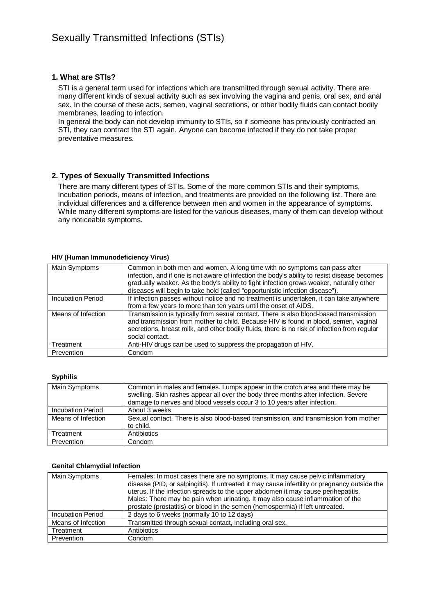### **1. What are STIs?**

STI is a general term used for infections which are transmitted through sexual activity. There are many different kinds of sexual activity such as sex involving the vagina and penis, oral sex, and anal sex. In the course of these acts, semen, vaginal secretions, or other bodily fluids can contact bodily membranes, leading to infection.

In general the body can not develop immunity to STIs, so if someone has previously contracted an STI, they can contract the STI again. Anyone can become infected if they do not take proper preventative measures.

#### **2. Types of Sexually Transmitted Infections**

There are many different types of STIs. Some of the more common STIs and their symptoms, incubation periods, means of infection, and treatments are provided on the following list. There are individual differences and a difference between men and women in the appearance of symptoms. While many different symptoms are listed for the various diseases, many of them can develop without any noticeable symptoms.

#### **HIV (Human Immunodeficiency Virus)**

| Main Symptoms            | Common in both men and women. A long time with no symptoms can pass after<br>infection, and if one is not aware of infection the body's ability to resist disease becomes<br>gradually weaker. As the body's ability to fight infection grows weaker, naturally other<br>diseases will begin to take hold (called "opportunistic infection disease"). |
|--------------------------|-------------------------------------------------------------------------------------------------------------------------------------------------------------------------------------------------------------------------------------------------------------------------------------------------------------------------------------------------------|
| <b>Incubation Period</b> | If infection passes without notice and no treatment is undertaken, it can take anywhere<br>from a few years to more than ten years until the onset of AIDS.                                                                                                                                                                                           |
| Means of Infection       | Transmission is typically from sexual contact. There is also blood-based transmission<br>and transmission from mother to child. Because HIV is found in blood, semen, vaginal<br>secretions, breast milk, and other bodily fluids, there is no risk of infection from regular<br>social contact.                                                      |
| Treatment                | Anti-HIV drugs can be used to suppress the propagation of HIV.                                                                                                                                                                                                                                                                                        |
| Prevention               | Condom                                                                                                                                                                                                                                                                                                                                                |

#### **Syphilis**

| Main Symptoms      | Common in males and females. Lumps appear in the crotch area and there may be<br>swelling. Skin rashes appear all over the body three months after infection. Severe<br>damage to nerves and blood vessels occur 3 to 10 years after infection. |
|--------------------|-------------------------------------------------------------------------------------------------------------------------------------------------------------------------------------------------------------------------------------------------|
| Incubation Period  | About 3 weeks                                                                                                                                                                                                                                   |
| Means of Infection | Sexual contact. There is also blood-based transmission, and transmission from mother<br>to child.                                                                                                                                               |
| Treatment          | Antibiotics                                                                                                                                                                                                                                     |
| Prevention         | Condom                                                                                                                                                                                                                                          |

#### **Genital Chlamydial Infection**

| Main Symptoms      | Females: In most cases there are no symptoms. It may cause pelvic inflammatory<br>disease (PID, or salpingitis). If untreated it may cause infertility or pregnancy outside the<br>uterus. If the infection spreads to the upper abdomen it may cause perihepatitis.<br>Males: There may be pain when urinating. It may also cause inflammation of the<br>prostate (prostatitis) or blood in the semen (hemospermia) if left untreated. |
|--------------------|-----------------------------------------------------------------------------------------------------------------------------------------------------------------------------------------------------------------------------------------------------------------------------------------------------------------------------------------------------------------------------------------------------------------------------------------|
| Incubation Period  | 2 days to 6 weeks (normally 10 to 12 days)                                                                                                                                                                                                                                                                                                                                                                                              |
| Means of Infection | Transmitted through sexual contact, including oral sex.                                                                                                                                                                                                                                                                                                                                                                                 |
| Treatment          | Antibiotics                                                                                                                                                                                                                                                                                                                                                                                                                             |
| Prevention         | Condom                                                                                                                                                                                                                                                                                                                                                                                                                                  |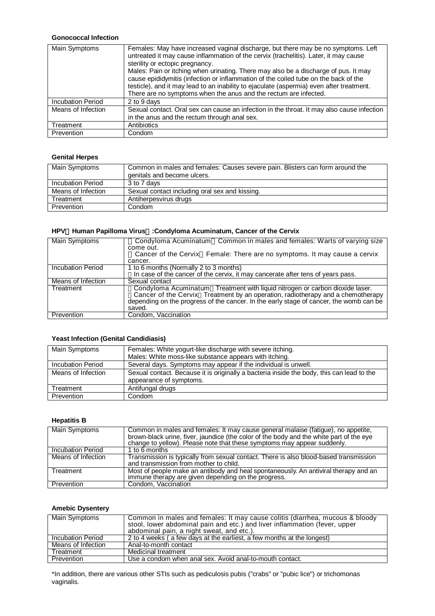## **Gonococcal Infection**

| Main Symptoms      | Females: May have increased vaginal discharge, but there may be no symptoms. Left<br>untreated it may cause inflammation of the cervix (trachelitis). Later, it may cause<br>sterility or ectopic pregnancy.<br>Males: Pain or itching when urinating. There may also be a discharge of pus. It may<br>cause epididymitis (infection or inflammation of the coiled tube on the back of the<br>testicle), and it may lead to an inability to ejaculate (aspermia) even after treatment.<br>There are no symptoms when the anus and the rectum are infected. |
|--------------------|------------------------------------------------------------------------------------------------------------------------------------------------------------------------------------------------------------------------------------------------------------------------------------------------------------------------------------------------------------------------------------------------------------------------------------------------------------------------------------------------------------------------------------------------------------|
| Incubation Period  | 2 to 9 days                                                                                                                                                                                                                                                                                                                                                                                                                                                                                                                                                |
| Means of Infection | Sexual contact. Oral sex can cause an infection in the throat. It may also cause infection<br>in the anus and the rectum through anal sex.                                                                                                                                                                                                                                                                                                                                                                                                                 |
| Treatment          | Antibiotics                                                                                                                                                                                                                                                                                                                                                                                                                                                                                                                                                |
| Prevention         | Condom                                                                                                                                                                                                                                                                                                                                                                                                                                                                                                                                                     |

## **Genital Herpes**

| Main Symptoms      | Common in males and females: Causes severe pain. Blisters can form around the<br>genitals and become ulcers. |
|--------------------|--------------------------------------------------------------------------------------------------------------|
| Incubation Period  | 3 to 7 days                                                                                                  |
| Means of Infection | Sexual contact including oral sex and kissing.                                                               |
| Treatment          | Antiherpesvirus drugs                                                                                        |
| Prevention         | Condom                                                                                                       |

## **HPV**(**Human Papilloma Virus**)**:Condyloma Acuminatum, Cancer of the Cervix**

| <b>Main Symptoms</b>     | Condyloma Acuminatum Common in males and females: Warts of varying size                                                                                                                                                                                             |
|--------------------------|---------------------------------------------------------------------------------------------------------------------------------------------------------------------------------------------------------------------------------------------------------------------|
|                          | come out.                                                                                                                                                                                                                                                           |
|                          | Cancer of the Cervix Female: There are no symptoms. It may cause a cervix                                                                                                                                                                                           |
|                          | cancer.                                                                                                                                                                                                                                                             |
| <b>Incubation Period</b> | 1 to 6 months (Normally 2 to 3 months)                                                                                                                                                                                                                              |
|                          | In case of the cancer of the cervix, it may cancerate after tens of years pass.                                                                                                                                                                                     |
| Means of Infection       | Sexual contact                                                                                                                                                                                                                                                      |
| Treatment                | Condyloma Acuminatum Treatment with liquid nitrogen or carbon dioxide laser.<br>Cancer of the Cervix Treatment by an operation, radiotherapy and a chemotherapy<br>depending on the progress of the cancer. In the early stage of cancer, the womb can be<br>saved. |
| Prevention               | Condom, Vaccination                                                                                                                                                                                                                                                 |

#### **Yeast Infection (Genital Candidiasis)**

| Main Symptoms      | Females: White yogurt-like discharge with severe itching.                                 |
|--------------------|-------------------------------------------------------------------------------------------|
|                    | Males: White moss-like substance appears with itching.                                    |
| Incubation Period  | Several days. Symptoms may appear if the individual is unwell.                            |
| Means of Infection | Sexual contact. Because it is originally a bacteria inside the body, this can lead to the |
|                    | appearance of symptoms.                                                                   |
| Treatment          | Antifungal drugs                                                                          |
| Prevention         | Condom                                                                                    |

#### **Hepatitis B**

| Main Symptoms      | Common in males and females: It may cause general malaise (fatigue), no appetite,<br>brown-black urine, fiver, jaundice (the color of the body and the white part of the eye<br>change to yellow). Please note that these symptoms may appear suddenly. |
|--------------------|---------------------------------------------------------------------------------------------------------------------------------------------------------------------------------------------------------------------------------------------------------|
| Incubation Period  | 1 to 6 months                                                                                                                                                                                                                                           |
| Means of Infection | Transmission is typically from sexual contact. There is also blood-based transmission<br>and transmission from mother to child.                                                                                                                         |
| Treatment          | Most of people make an antibody and heal spontaneously. An antiviral therapy and an<br>immune therapy are given depending on the progress.                                                                                                              |
| Prevention         | Condom. Vaccination                                                                                                                                                                                                                                     |

## **Amebic Dysentery**

| Main Symptoms      | Common in males and females: It may cause colitis (diarrhea, mucous & bloody<br>stool, lower abdominal pain and etc.) and liver inflammation (fever, upper<br>abdominal pain, a night sweat, and etc.). |
|--------------------|---------------------------------------------------------------------------------------------------------------------------------------------------------------------------------------------------------|
| Incubation Period  | 2 to 4 weeks (a few days at the earliest, a few months at the longest)                                                                                                                                  |
| Means of Infection | Anal-to-month contact                                                                                                                                                                                   |
| Treatment          | Medicinal treatment                                                                                                                                                                                     |
| Prevention         | Use a condom when anal sex. Avoid anal-to-mouth contact.                                                                                                                                                |

\*In addition, there are various other STIs such as pediculosis pubis ("crabs" or "pubic lice") or trichomonas vaginalis.